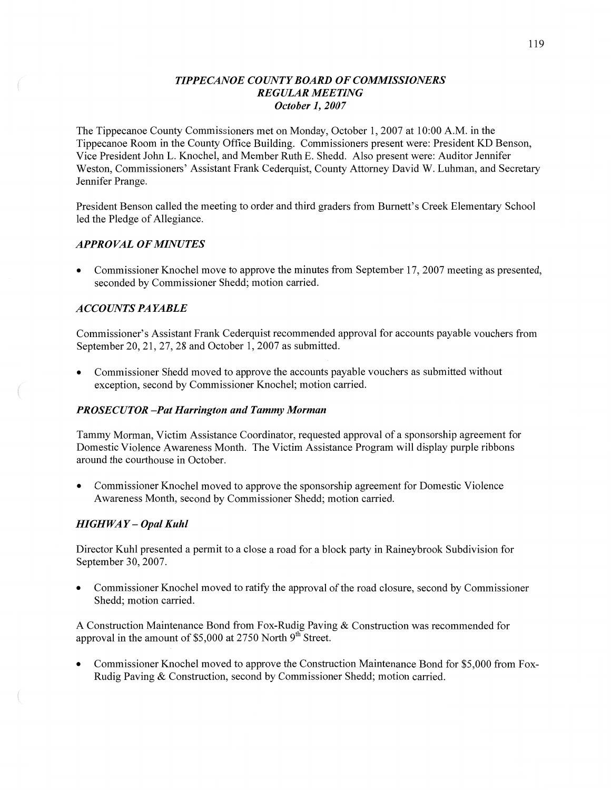#### *TIPPECANOE COUNTY BOARD* OF *COMMISSIONERS REGULAR MEETING October* 1, *2007*

The Tippecanoe County Commissioners met on Monday, October 1, 2007 at 10:00 AM. in the Tippecanoe Room in the County Office Building. Commissioners present were: President KD Benson, **Vice** President John L. Knochel, and Member Ruth E. Shedd. Also present were: Auditor Jennifer Weston, Commissioners' Assistant Frank Cederquist, County Attorney David W. Luhman, and Secretary Jennifer Prange.

President Benson called the meeting to order and **third** graders from Burnett's Creek Elementary School led the Pledge of Allegiance.

#### *APPROVAL* OF *MINUTES*

**0** Commissioner Knochel move to approve the minutes from September 17, 2007 meeting as presented, seconded by Commissioner Shedd; motion carried.

#### *ACCOLUVT S* PA *YABLE*

Commissioner's Assistant **Frank** Cederquist recommended approval for accounts payable vouchers from September 20, 21, 27, 28 and October 1, 2007 as submitted.

**0** Commissioner **Shedd** moved to approve the accounts payable vouchers as submitted without exception, second by Commissioner Knochel; motion carried.

#### *PROSECUTOR —Pat Harrington* and *Tammy Morman*

Tammy **Morman,** Victim Assistance Coordinator, requested approval of a sponsorship agreement for Domestic Violence Awareness Month. The Victim Assistance Program will display purple ribbons around the courthouse in October.

*0* Commissioner Knochel moved to approve the sponsorship agreement for Domestic **Violence**  Awareness Month, second by Commissioner Shedd; motion carried.

#### *HIGHWAY— Opal Kuhl*

Director Kuhl presented **a** permit to **a** close a road for a block party in Raineybrook Subdivision for September 30, **2007.** 

*0* Commissioner Knochel moved to ratify the approval of the road closure, second by Commissioner Shedd; motion carried.

**A** Construction Maintenance Bond from Fox-Rudig Paving & Construction was recommended for approval in the amount of  $$5,000$  at 2750 North 9<sup>th</sup> Street.

**0** Commissioner Knochel moved to approve the Construction Maintenance Bond for \$5,000 from Fox-Rudig Paving **&** Construction, second by Commissioner Shedd; motion carried.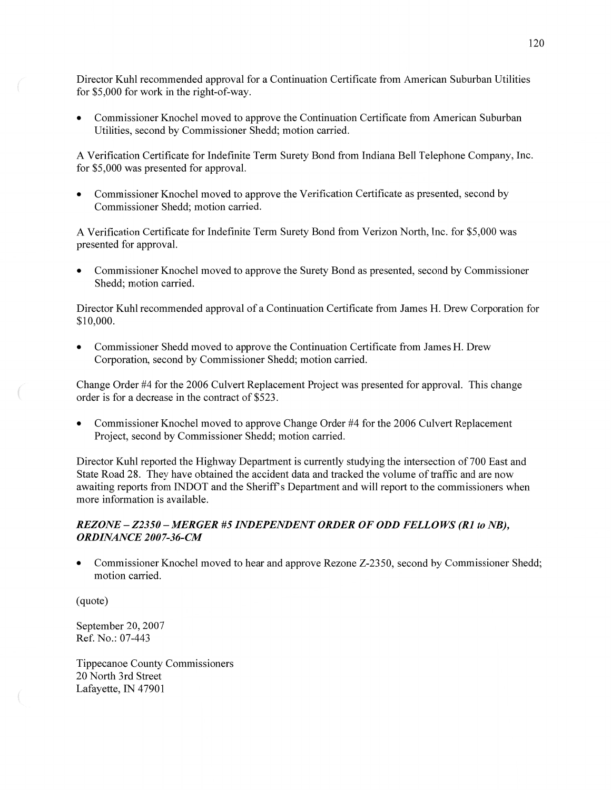Director Kuhl recommended approval for **a** Continuation Certificate from American Suburban Utilities for \$5,000 for work in the right-of-way.

**0** Commissioner Knochel moved to approve the Continuation Certificate from American Suburban Utilities, second by Commissioner Shedd; motion carried.

**A** Verification Certificate for Indefinite Term Surety Bond from Indiana Bell Telephone Company, Inc. for \$5,000 was presented for approval.

**0** Commissioner Knochel moved to approve the Verification Certificate as presented, second by Commissioner Shedd; motion carried.

A Verification Certificate for Indefinite Term Surety Bond from Verizon North, Inc. for \$5,000 was presented for approval.

**0** Commissioner Knochel moved to approve the Surety Bond as presented, second by Commissioner Shedd; motion carried.

Director Kuhl recommended approval of a Continuation Certificate from James H. Drew Corporation for \$10,000.

**0** Commissioner **Shedd** moved to approve the Continuation Certificate from James H. Drew Corporation, second by Commissioner Shedd; motion carried.

Change Order #4 for the 2006 Culvert Replacement Project was presented for approval. This change order is for **a** decrease in the contract of \$523.

**0** Commissioner Knochel moved to approve Change Order #4 for the 2006 Culvert Replacement Project, second by Commissioner Shedd; motion carried.

Director Kuhl reported the Highway Department is currently studying the intersection of 700 East and State Road 28. They **have** obtained the accident data and tracked the volume of traffic and are now awaiting reports from INDOT and the Sheriff **5** Department and will report to the commissioners when more information is available.

# *REZONE —ZZ350 —MERGER* #5 *INDEPENDENT ORDER* OF ODD *FELLOWS* (R1 to *NB), ORDINANCE 2007-36-CM*

**0** Commissioner Knochel moved to hear and approve Rezone Z-2350, second by Commissioner Shedd; motion carried.

(quote)

September 20, 2007 Ref. No.: 07-443

Tippecanoe County Commissioners 20 North 3rd Street Lafayette, IN 47901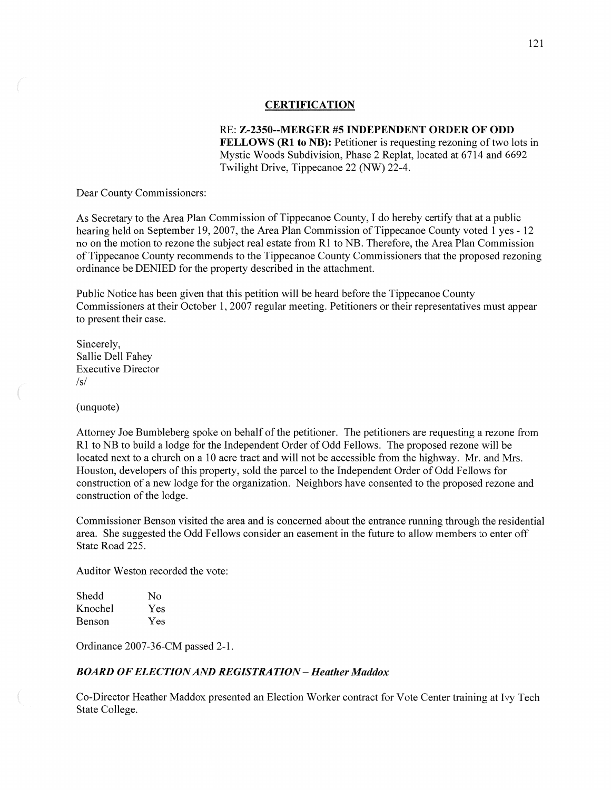#### **CERTIFICATION**

RE: **Z—2350--MERGER** #5 **INDEPENDENT ORDER** OF ODD **FELLOWS (R1 to NB):** Petitioner is requesting rezoning of two lots in Mystic Woods Subdivision, Phase 2 Replat, located at 6714 and 6692 Twilight Drive, Tippecanoe 22 (NW) 22-4.

Dear County Commissioners:

As Secretary to the Area Plan Commission of Tippecanoe County, I do hereby certify that at a public hearing held on September 19, 2007, the Area Plan Commission of Tippecanoe County voted **1** yes *-* 12 no on the motion to rezone the subject real estate from R1 to NB. Therefore, the Area Plan Commission of Tippecanoe County recommends to the Tippecanoe County Commissioners that the proposed rezoning ordinance be DENIED for the property described in the attachment.

Public Notice has been given that this petition will be heard before the Tippecanoe County Commissioners at their October 1, 2007 regular meeting. Petitioners or their representatives must appear to present their case.

Sincerely, Sallie Dell Fahey Executive Director  $\sqrt{s}$ 

(unquote)

Attorney Joe Bumbleberg spoke on behalf of the petitioner. The petitioners are requesting a rezone from R1 to NB to build a lodge for the Independent Order of Odd Fellows. The proposed rezone will be located next to a church on a 10 acre tract and will not be accessible from the highway. Mr. and Mrs. Houston, developers of this property, sold the parcel to the Independent Order of Odd Fellows for construction of **a** new lodge for the organization. Neighbors have consented to the proposed rezone and construction of the lodge.

Commissioner Benson Visited the area and is concerned about the entrance running through the residential area. She suggested the Odd Fellows consider an easement in the future to allow members to enter off State Road 225.

Auditor Weston recorded the vote:

| Shedd   | Nο  |
|---------|-----|
| Knochel | Yes |
| Benson  | Yes |

Ordinance 2007-36-CM passed 2-1.

#### *BOARD* OF *ELECTION* AND *REGISTRATION* **—** *Heather Maddox*

Co-Director Heather Maddox presented an Election Worker contract for Vote Center training at Ivy Tech State College.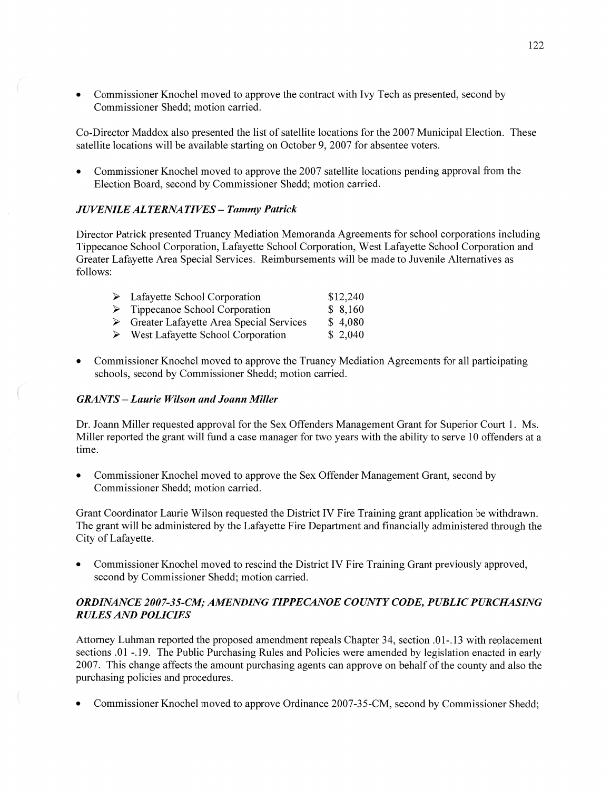**0** Commissioner Knochel moved to approve the contract with Ivy Tech as presented, second by Commissioner Shedd; motion carried.

Co-Director Maddox also presented the list of satellite locations for the 2007 Municipal Election. These satellite locations will be available starting on October 9, 2007 for absentee voters.

**0** Commissioner Knochel moved to approve the 2007 satellite locations pending approval from the Election Board, second by Commissioner Shedd; motion carried.

# $JUVENILE ALTERNATIVES - Tammy Patrick$

Director Patrick presented Truancy Mediation Memoranda Agreements for school corporations including Tippecanoe School Corporation, Lafayette School Corporation, West Lafayette School Corporation and Greater Lafayette Area Special Services. Reimbursements will be made to Juvenile Alternatives as follows:

| $\triangleright$ Lafayette School Corporation            | \$12,240 |
|----------------------------------------------------------|----------|
| $\triangleright$ Tippecanoe School Corporation           | \$8,160  |
| $\triangleright$ Greater Lafayette Area Special Services | \$4,080  |
| $\triangleright$ West Lafayette School Corporation       | \$2,040  |

**0** Commissioner Knochel moved to approve the Truancy Mediation Agreements for all participating schools, second by Commissioner Shedd; motion carried.

# *GRANTS* **—** *Laurie Wilson* and *Joann Miller*

Dr. Joann Miller requested approval for the Sex Offenders Management Grant for Superior Court 1. Ms. Miller reported the grant Will fund a case manager for two years with the ability to serve 10 offenders at a time.

**0** Commissioner Knochel moved to approve the Sex Offender Management Grant, second by Commissioner Shedd; motion carried.

Grant Coordinator Laurie Wilson requested the District IV Fire Training grant application be withdrawn. The grant will be administered by the Lafayette Fire Department and financially administered through the City of Lafayette.

**0** Commissioner Knochel moved to rescind the District IV Fire Training Grant previously approved, second by Commissioner Shedd; motion carried.

# *ORDINANCE* 200 *7-35-C.M; AMENDING T IPPE CANOE COUNTY CODE, PUBLIC PURCHASING R ULES* AND *POLICIES*

Attorney Luhman reported the proposed amendment repeals Chapter 34, section **.01-.** 13 with replacement sections .01 -.19. The Public Purchasing Rules and Policies were amended by legislation enacted in early 2007. This change affects the amount purchasing agents can approve on behalf of the county and also the purchasing policies and procedures.

Commissioner Knochel moved to approve Ordinance 2007-35-CM, second by Commissioner Shedd;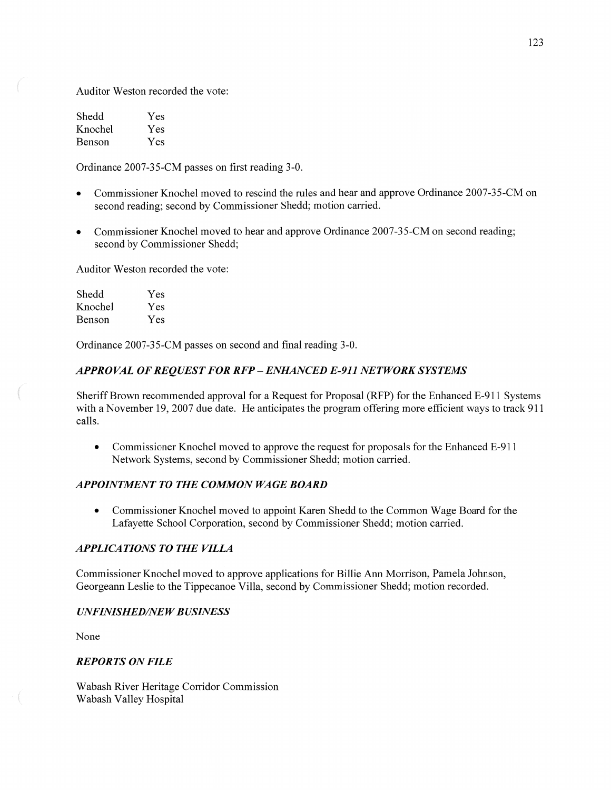Auditor Weston recorded the vote:

| Shedd   | Yes |
|---------|-----|
| Knochel | Yes |
| Benson  | Yes |

Ordinance 2007-35-CM passes on first reading 3-0.

- **0** Commissioner Knochel moved to rescind the rules and hear and approve Ordinance 2007-35-CM on second reading; second by Commissioner Shedd; motion carried.
- Commissioner Knochel moved to hear and approve Ordinance 2007-35-CM on second reading; second by Commissioner Shedd;

Auditor Weston recorded the vote:

| Shedd   | Yes |
|---------|-----|
| Knochel | Yes |
| Benson  | Yes |

Ordinance 2007-35-CM passes on second and final reading 3-0.

# *APPROVAL* OF *REQUEST* FOR RFP - *ENIL4NCED E-911 NETWORK SYSTEMS*

Sheriff Brown recommended approval for a Request for Proposal (RFP) for the Enhanced E-911 Systems with a November 19, 2007 due date. He anticipates the program offering more efficient ways to track 911 calls.

**0** Commissioner Knochel moved to approve the request for proposals for the Enhanced E-911 Network Systems, second by Commissioner Shedd; motion carried.

# **APPOINTMENT TO THE COMMON WAGE BOARD**

**0** Commissioner Knochel moved to appoint Karen Shedd to the Common Wage Board for the Lafayette School Corporation, second by Commissioner Shedd; motion carried.

# **APPLICATIONS TO THE VILLA**

Commissioner Knochel moved to approve applications for Billie Ann Morrison, Pamela Johnson, Georgeann Leslie to the Tippecanoe Villa, second by Commissioner Shedd; motion recorded.

# *UNFINISHED/NEW BUSINESS*

None

 $\overline{a}$ 

# *REPORTS* ON *FILE*

Wabash River Heritage Corridor Commission Wabash Valley Hospital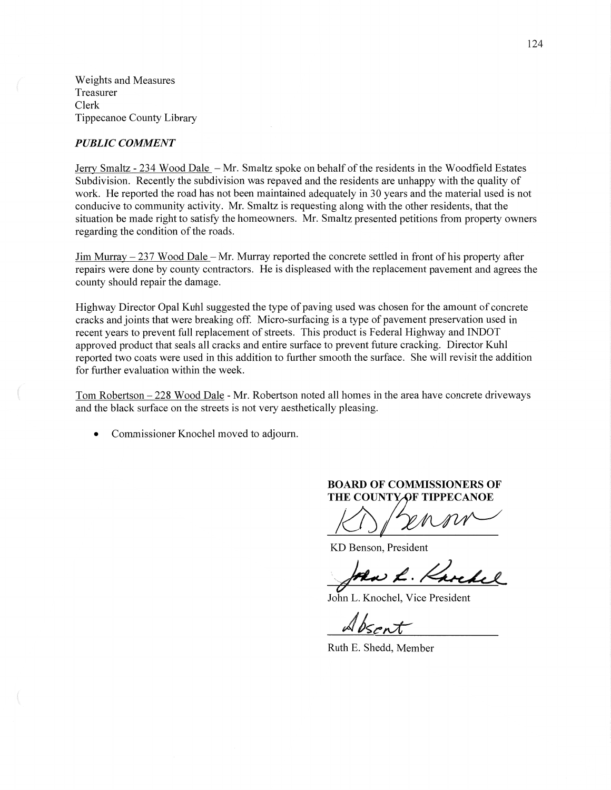Weights and Measures Treasurer Clerk Tippecanoe County Library

#### *PUBLIC COMMENT*

Jerry Smaltz - 234 Wood Dale – Mr. Smaltz spoke on behalf of the residents in the Woodfield Estates Subdivision. Recently the subdivision was repaved and the residents are unhappy with the quality of work. He reported the road has not been maintained adequately in 30 years and the material used is not conducive to community activity. Mr. Smaltz is requesting along with the other residents, that the situation be made right to satisfy the homeowners. Mr. Smaltz presented petitions from property owners regarding the condition of the roads.

Jim Murray **—** 237 Wood Dale — Mr. Murray reported the concrete settled in front of his property after repairs were done by county contractors. He is displeased with the replacement pavement and agrees the county should repair the damage.

Highway Director Opal Kuhl suggested the type of paving used was chosen for the amount of concrete cracks and joints that were breaking off. Micro-surfacing is a type of pavement preservation used in recent years to prevent full replacement of streets. This product is Federal Highway and INDOT approved product that seals all cracks and entire surface to prevent future cracking. Director Kuhl reported two coats were used in this addition to further smooth the surface. She will revisit the addition for further evaluation Within the week.

Tom Robertson — 228 Wood Dale *-* Mr. Robertson noted all homes in the area have concrete driveways and the black surface on the streets is not very aesthetically pleasing.

**0** Commissioner Knochel moved to adjourn.

#### **BOARD** OF **COMMISSIONERS** OF **THE COUNTY OF TIPPECANOE**

KD Benson, President

Aw L. Karchel

John L. Knochel, Vice President

 $Absent$ 

Ruth B. Shedd, Member